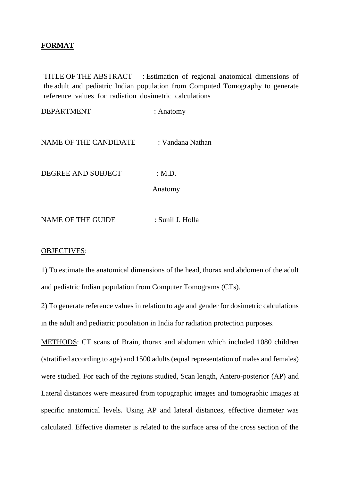## **FORMAT**

TITLE OF THE ABSTRACT : Estimation of regional anatomical dimensions of the adult and pediatric Indian population from Computed Tomography to generate reference values for radiation dosimetric calculations

DEPARTMENT : Anatomy

NAME OF THE CANDIDATE : Vandana Nathan

DEGREE AND SUBJECT : M.D.

Anatomy

NAME OF THE GUIDE : Sunil J. Holla

## OBJECTIVES:

1) To estimate the anatomical dimensions of the head, thorax and abdomen of the adult and pediatric Indian population from Computer Tomograms (CTs).

2) To generate reference values in relation to age and gender for dosimetric calculations in the adult and pediatric population in India for radiation protection purposes.

METHODS: CT scans of Brain, thorax and abdomen which included 1080 children (stratified according to age) and 1500 adults (equal representation of males and females) were studied. For each of the regions studied, Scan length, Antero-posterior (AP) and Lateral distances were measured from topographic images and tomographic images at specific anatomical levels. Using AP and lateral distances, effective diameter was calculated. Effective diameter is related to the surface area of the cross section of the